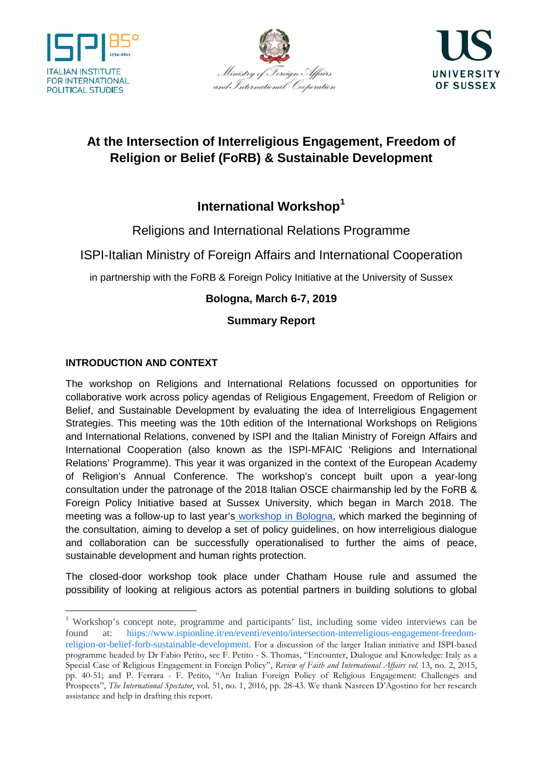





# **At the Intersection of Interreligious Engagement, Freedom of Religion or Belief (FoRB) & Sustainable Development**

# **International Workshop[1](#page-0-0)**

Religions and International Relations Programme

ISPI-Italian Ministry of Foreign Affairs and International Cooperation

in partnership with the FoRB & Foreign Policy Initiative at the University of Sussex

## **Bologna, March 6-7, 2019**

## **Summary Report**

## **INTRODUCTION AND CONTEXT**

The workshop on Religions and International Relations focussed on opportunities for collaborative work across policy agendas of Religious Engagement, Freedom of Religion or Belief, and Sustainable Development by evaluating the idea of Interreligious Engagement Strategies. This meeting was the 10th edition of the International Workshops on Religions and International Relations, convened by ISPI and the Italian Ministry of Foreign Affairs and International Cooperation (also known as the ISPI-MFAIC 'Religions and International Relations' Programme). This year it was organized in the context of the European Academy of Religion's Annual Conference. The workshop's concept built upon a year-long consultation under the patronage of the 2018 Italian OSCE chairmanship led by the FoRB & Foreign Policy Initiative based at Sussex University, which began in March 2018. The meeting was a follow-up to last year's workshop in Bologna, which marked the beginning of the consultation, aiming to develop a set of policy guidelines, on how interreligious dialogue and collaboration can be successfully operationalised to further the aims of peace, sustainable development and human rights protection.

The closed-door workshop took place under Chatham House rule and assumed the possibility of looking at religious actors as potential partners in building solutions to global

<span id="page-0-0"></span><sup>1</sup> Workshop's concept note, programme and participants' list, including some video interviews can be found at: hiips://www.ispionline.it/en/eventi/evento/intersection-interreligious-engagement-freedomreligion-or-belief-forb-sustainable-development. For a discussion of the larger Italian initiative and ISPI-based programme headed by Dr Fabio Petito, see F. Petito - S. Thomas, "Encounter, Dialogue and Knowledge: Italy as a Special Case of Religious Engagement in Foreign Policy", *Review of Faith and International Affairs vol.* 13, no. 2, 2015, pp. 40-51; and P. Ferrara - F. Petito, "An Italian Foreign Policy of Religious Engagement: Challenges and Prospects", *The International Spectator*, vol. 51, no. 1, 2016, pp. 28-43. We thank Nasreen D'Agostino for her research assistance and help in drafting this report.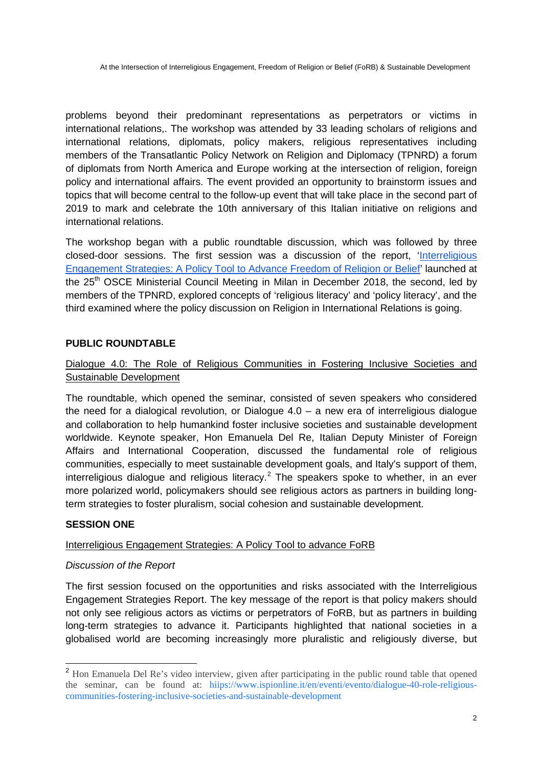problems beyond their predominant representations as perpetrators or victims in international relations,. The workshop was attended by 33 leading scholars of religions and international relations, diplomats, policy makers, religious representatives including members of the Transatlantic Policy Network on Religion and Diplomacy (TPNRD) a forum of diplomats from North America and Europe working at the intersection of religion, foreign policy and international affairs. The event provided an opportunity to brainstorm issues and topics that will become central to the follow-up event that will take place in the second part of 2019 to mark and celebrate the 10th anniversary of this Italian initiative on religions and international relations.

The workshop began with a public roundtable discussion, which was followed by three closed-door sessions. The first session was a discussion of the report, 'Interreligious Engagement Strategies: A Policy Tool to Advance Freedom of Religion or Belief' launched at the 25<sup>th</sup> OSCE Ministerial Council Meeting in Milan in December 2018, the second, led by members of the TPNRD, explored concepts of 'religious literacy' and 'policy literacy', and the third examined where the policy discussion on Religion in International Relations is going.

### **PUBLIC ROUNDTABLE**

### Dialogue 4.0: The Role of Religious Communities in Fostering Inclusive Societies and Sustainable Development

The roundtable, which opened the seminar, consisted of seven speakers who considered the need for a dialogical revolution, or Dialogue 4.0 – a new era of interreligious dialogue and collaboration to help humankind foster inclusive societies and sustainable development worldwide. Keynote speaker, Hon Emanuela Del Re, Italian Deputy Minister of Foreign Affairs and International Cooperation, discussed the fundamental role of religious communities, especially to meet sustainable development goals, and Italy's support of them, interreligious dialogue and religious literacy.<sup>[2](#page-1-0)</sup> The speakers spoke to whether, in an ever more polarized world, policymakers should see religious actors as partners in building longterm strategies to foster pluralism, social cohesion and sustainable development.

### **SESSION ONE**

#### Interreligious Engagement Strategies: A Policy Tool to advance FoRB

### *Discussion of the Report*

The first session focused on the opportunities and risks associated with the Interreligious Engagement Strategies Report. The key message of the report is that policy makers should not only see religious actors as victims or perpetrators of FoRB, but as partners in building long-term strategies to advance it. Participants highlighted that national societies in a globalised world are becoming increasingly more pluralistic and religiously diverse, but

<span id="page-1-0"></span><sup>&</sup>lt;sup>2</sup> Hon Emanuela Del Re's video interview, given after participating in the public round table that opened the seminar, can be found at: hiips://www.ispionline.it/en/eventi/evento/dialogue-40-role-religiouscommunities-fostering-inclusive-societies-and-sustainable-development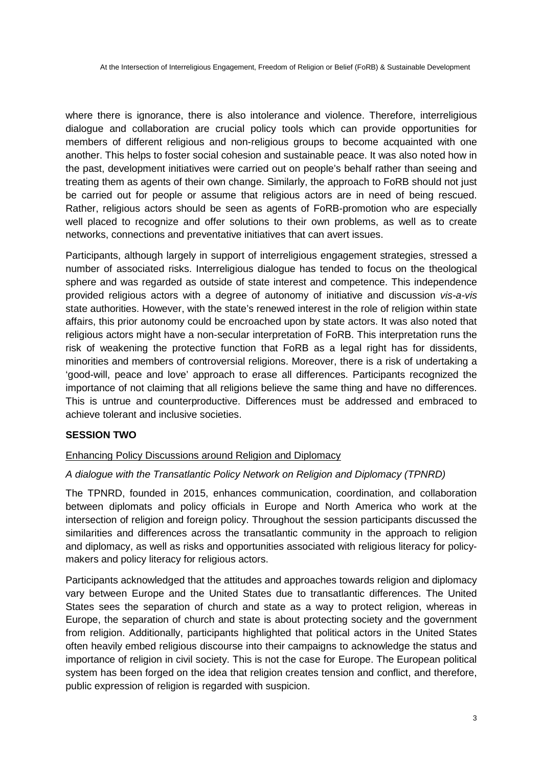where there is ignorance, there is also intolerance and violence. Therefore, interreligious dialogue and collaboration are crucial policy tools which can provide opportunities for members of different religious and non-religious groups to become acquainted with one another. This helps to foster social cohesion and sustainable peace. It was also noted how in the past, development initiatives were carried out on people's behalf rather than seeing and treating them as agents of their own change. Similarly, the approach to FoRB should not just be carried out for people or assume that religious actors are in need of being rescued. Rather, religious actors should be seen as agents of FoRB-promotion who are especially well placed to recognize and offer solutions to their own problems, as well as to create networks, connections and preventative initiatives that can avert issues.

Participants, although largely in support of interreligious engagement strategies, stressed a number of associated risks. Interreligious dialogue has tended to focus on the theological sphere and was regarded as outside of state interest and competence. This independence provided religious actors with a degree of autonomy of initiative and discussion *vis-a-vis* state authorities. However, with the state's renewed interest in the role of religion within state affairs, this prior autonomy could be encroached upon by state actors. It was also noted that religious actors might have a non-secular interpretation of FoRB. This interpretation runs the risk of weakening the protective function that FoRB as a legal right has for dissidents, minorities and members of controversial religions. Moreover, there is a risk of undertaking a 'good-will, peace and love' approach to erase all differences. Participants recognized the importance of not claiming that all religions believe the same thing and have no differences. This is untrue and counterproductive. Differences must be addressed and embraced to achieve tolerant and inclusive societies.

### **SESSION TWO**

### Enhancing Policy Discussions around Religion and Diplomacy

### *A dialogue with the Transatlantic Policy Network on Religion and Diplomacy (TPNRD)*

The TPNRD, founded in 2015, enhances communication, coordination, and collaboration between diplomats and policy officials in Europe and North America who work at the intersection of religion and foreign policy. Throughout the session participants discussed the similarities and differences across the transatlantic community in the approach to religion and diplomacy, as well as risks and opportunities associated with religious literacy for policymakers and policy literacy for religious actors.

Participants acknowledged that the attitudes and approaches towards religion and diplomacy vary between Europe and the United States due to transatlantic differences. The United States sees the separation of church and state as a way to protect religion, whereas in Europe, the separation of church and state is about protecting society and the government from religion. Additionally, participants highlighted that political actors in the United States often heavily embed religious discourse into their campaigns to acknowledge the status and importance of religion in civil society. This is not the case for Europe. The European political system has been forged on the idea that religion creates tension and conflict, and therefore, public expression of religion is regarded with suspicion.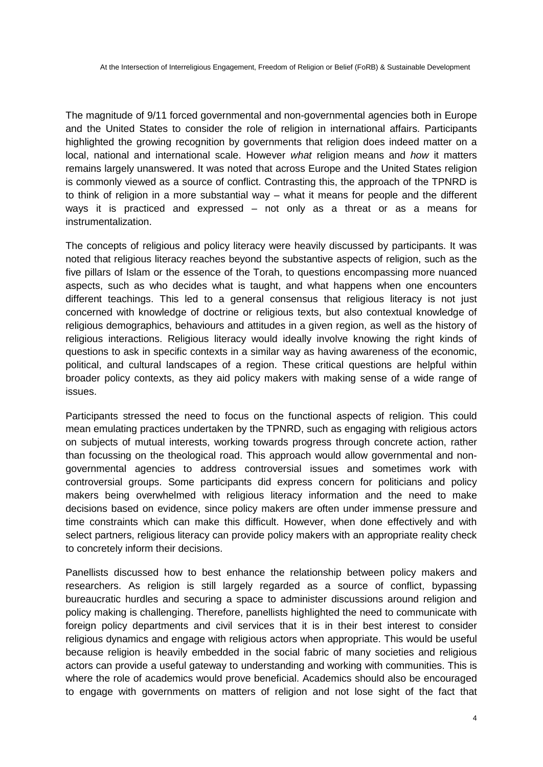The magnitude of 9/11 forced governmental and non-governmental agencies both in Europe and the United States to consider the role of religion in international affairs. Participants highlighted the growing recognition by governments that religion does indeed matter on a local, national and international scale. However *what* religion means and *how* it matters remains largely unanswered. It was noted that across Europe and the United States religion is commonly viewed as a source of conflict. Contrasting this, the approach of the TPNRD is to think of religion in a more substantial way – what it means for people and the different ways it is practiced and expressed – not only as a threat or as a means for instrumentalization.

The concepts of religious and policy literacy were heavily discussed by participants. It was noted that religious literacy reaches beyond the substantive aspects of religion, such as the five pillars of Islam or the essence of the Torah, to questions encompassing more nuanced aspects, such as who decides what is taught, and what happens when one encounters different teachings. This led to a general consensus that religious literacy is not just concerned with knowledge of doctrine or religious texts, but also contextual knowledge of religious demographics, behaviours and attitudes in a given region, as well as the history of religious interactions. Religious literacy would ideally involve knowing the right kinds of questions to ask in specific contexts in a similar way as having awareness of the economic, political, and cultural landscapes of a region. These critical questions are helpful within broader policy contexts, as they aid policy makers with making sense of a wide range of issues.

Participants stressed the need to focus on the functional aspects of religion. This could mean emulating practices undertaken by the TPNRD, such as engaging with religious actors on subjects of mutual interests, working towards progress through concrete action, rather than focussing on the theological road. This approach would allow governmental and nongovernmental agencies to address controversial issues and sometimes work with controversial groups. Some participants did express concern for politicians and policy makers being overwhelmed with religious literacy information and the need to make decisions based on evidence, since policy makers are often under immense pressure and time constraints which can make this difficult. However, when done effectively and with select partners, religious literacy can provide policy makers with an appropriate reality check to concretely inform their decisions.

Panellists discussed how to best enhance the relationship between policy makers and researchers. As religion is still largely regarded as a source of conflict, bypassing bureaucratic hurdles and securing a space to administer discussions around religion and policy making is challenging. Therefore, panellists highlighted the need to communicate with foreign policy departments and civil services that it is in their best interest to consider religious dynamics and engage with religious actors when appropriate. This would be useful because religion is heavily embedded in the social fabric of many societies and religious actors can provide a useful gateway to understanding and working with communities. This is where the role of academics would prove beneficial. Academics should also be encouraged to engage with governments on matters of religion and not lose sight of the fact that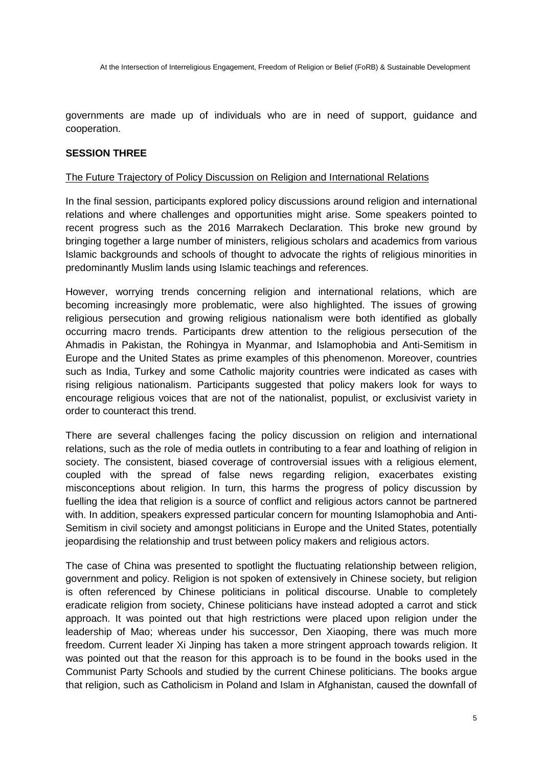governments are made up of individuals who are in need of support, guidance and cooperation.

#### **SESSION THREE**

#### The Future Trajectory of Policy Discussion on Religion and International Relations

In the final session, participants explored policy discussions around religion and international relations and where challenges and opportunities might arise. Some speakers pointed to recent progress such as the 2016 Marrakech Declaration. This broke new ground by bringing together a large number of ministers, religious scholars and academics from various Islamic backgrounds and schools of thought to advocate the rights of religious minorities in predominantly Muslim lands using Islamic teachings and references.

However, worrying trends concerning religion and international relations, which are becoming increasingly more problematic, were also highlighted. The issues of growing religious persecution and growing religious nationalism were both identified as globally occurring macro trends. Participants drew attention to the religious persecution of the Ahmadis in Pakistan, the Rohingya in Myanmar, and Islamophobia and Anti-Semitism in Europe and the United States as prime examples of this phenomenon. Moreover, countries such as India, Turkey and some Catholic majority countries were indicated as cases with rising religious nationalism. Participants suggested that policy makers look for ways to encourage religious voices that are not of the nationalist, populist, or exclusivist variety in order to counteract this trend.

There are several challenges facing the policy discussion on religion and international relations, such as the role of media outlets in contributing to a fear and loathing of religion in society. The consistent, biased coverage of controversial issues with a religious element, coupled with the spread of false news regarding religion, exacerbates existing misconceptions about religion. In turn, this harms the progress of policy discussion by fuelling the idea that religion is a source of conflict and religious actors cannot be partnered with. In addition, speakers expressed particular concern for mounting Islamophobia and Anti-Semitism in civil society and amongst politicians in Europe and the United States, potentially jeopardising the relationship and trust between policy makers and religious actors.

The case of China was presented to spotlight the fluctuating relationship between religion, government and policy. Religion is not spoken of extensively in Chinese society, but religion is often referenced by Chinese politicians in political discourse. Unable to completely eradicate religion from society, Chinese politicians have instead adopted a carrot and stick approach. It was pointed out that high restrictions were placed upon religion under the leadership of Mao; whereas under his successor, Den Xiaoping, there was much more freedom. Current leader Xi Jinping has taken a more stringent approach towards religion. It was pointed out that the reason for this approach is to be found in the books used in the Communist Party Schools and studied by the current Chinese politicians. The books argue that religion, such as Catholicism in Poland and Islam in Afghanistan, caused the downfall of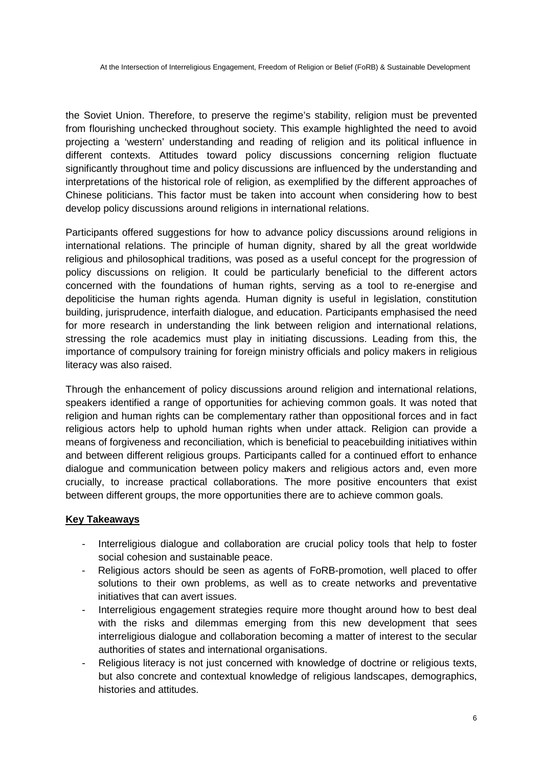the Soviet Union. Therefore, to preserve the regime's stability, religion must be prevented from flourishing unchecked throughout society. This example highlighted the need to avoid projecting a 'western' understanding and reading of religion and its political influence in different contexts. Attitudes toward policy discussions concerning religion fluctuate significantly throughout time and policy discussions are influenced by the understanding and interpretations of the historical role of religion, as exemplified by the different approaches of Chinese politicians. This factor must be taken into account when considering how to best develop policy discussions around religions in international relations.

Participants offered suggestions for how to advance policy discussions around religions in international relations. The principle of human dignity, shared by all the great worldwide religious and philosophical traditions, was posed as a useful concept for the progression of policy discussions on religion. It could be particularly beneficial to the different actors concerned with the foundations of human rights, serving as a tool to re-energise and depoliticise the human rights agenda. Human dignity is useful in legislation, constitution building, jurisprudence, interfaith dialogue, and education. Participants emphasised the need for more research in understanding the link between religion and international relations, stressing the role academics must play in initiating discussions. Leading from this, the importance of compulsory training for foreign ministry officials and policy makers in religious literacy was also raised.

Through the enhancement of policy discussions around religion and international relations, speakers identified a range of opportunities for achieving common goals. It was noted that religion and human rights can be complementary rather than oppositional forces and in fact religious actors help to uphold human rights when under attack. Religion can provide a means of forgiveness and reconciliation, which is beneficial to peacebuilding initiatives within and between different religious groups. Participants called for a continued effort to enhance dialogue and communication between policy makers and religious actors and, even more crucially, to increase practical collaborations. The more positive encounters that exist between different groups, the more opportunities there are to achieve common goals.

### **Key Takeaways**

- Interreligious dialogue and collaboration are crucial policy tools that help to foster social cohesion and sustainable peace.
- Religious actors should be seen as agents of FoRB-promotion, well placed to offer solutions to their own problems, as well as to create networks and preventative initiatives that can avert issues.
- Interreligious engagement strategies require more thought around how to best deal with the risks and dilemmas emerging from this new development that sees interreligious dialogue and collaboration becoming a matter of interest to the secular authorities of states and international organisations.
- Religious literacy is not just concerned with knowledge of doctrine or religious texts, but also concrete and contextual knowledge of religious landscapes, demographics, histories and attitudes.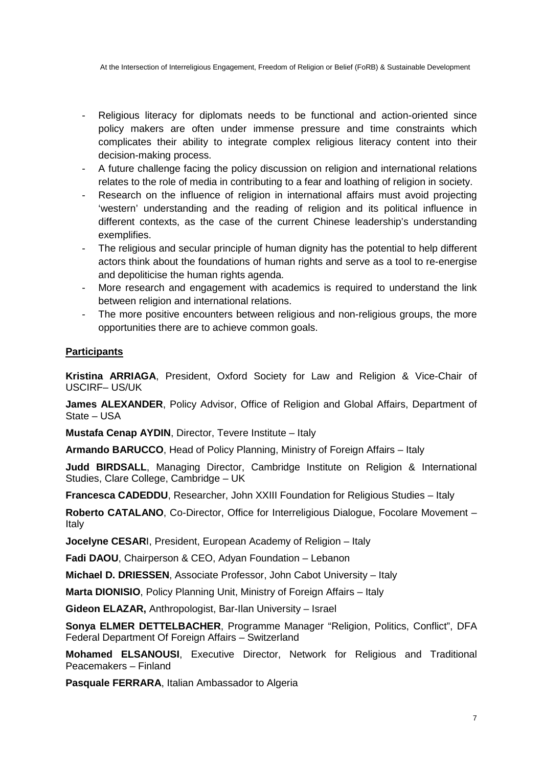At the Intersection of Interreligious Engagement, Freedom of Religion or Belief (FoRB) & Sustainable Development

- Religious literacy for diplomats needs to be functional and action-oriented since policy makers are often under immense pressure and time constraints which complicates their ability to integrate complex religious literacy content into their decision-making process.
- A future challenge facing the policy discussion on religion and international relations relates to the role of media in contributing to a fear and loathing of religion in society.
- Research on the influence of religion in international affairs must avoid projecting 'western' understanding and the reading of religion and its political influence in different contexts, as the case of the current Chinese leadership's understanding exemplifies.
- The religious and secular principle of human dignity has the potential to help different actors think about the foundations of human rights and serve as a tool to re-energise and depoliticise the human rights agenda.
- More research and engagement with academics is required to understand the link between religion and international relations.
- The more positive encounters between religious and non-religious groups, the more opportunities there are to achieve common goals.

### **Participants**

**Kristina ARRIAGA**, President, Oxford Society for Law and Religion & Vice-Chair of USCIRF– US/UK

**James ALEXANDER**, Policy Advisor, Office of Religion and Global Affairs, Department of State – USA

**Mustafa Cenap AYDIN**, Director, Tevere Institute – Italy

**Armando BARUCCO**, Head of Policy Planning, Ministry of Foreign Affairs – Italy

**Judd BIRDSALL**, Managing Director, Cambridge Institute on Religion & International Studies, Clare College, Cambridge – UK

**Francesca CADEDDU**, Researcher, John XXIII Foundation for Religious Studies – Italy

Roberto CATALANO, Co-Director, Office for Interreligious Dialogue, Focolare Movement -Italy

**Jocelyne CESAR**I, President, European Academy of Religion – Italy

**Fadi DAOU**, Chairperson & CEO, Adyan Foundation – Lebanon

**Michael D. DRIESSEN**, Associate Professor, John Cabot University – Italy

**Marta DIONISIO**, Policy Planning Unit, Ministry of Foreign Affairs – Italy

**Gideon ELAZAR,** Anthropologist, Bar-Ilan University – Israel

**Sonya ELMER DETTELBACHER**, Programme Manager "Religion, Politics, Conflict", DFA Federal Department Of Foreign Affairs – Switzerland

**Mohamed ELSANOUSI**, Executive Director, Network for Religious and Traditional Peacemakers – Finland

**Pasquale FERRARA**, Italian Ambassador to Algeria